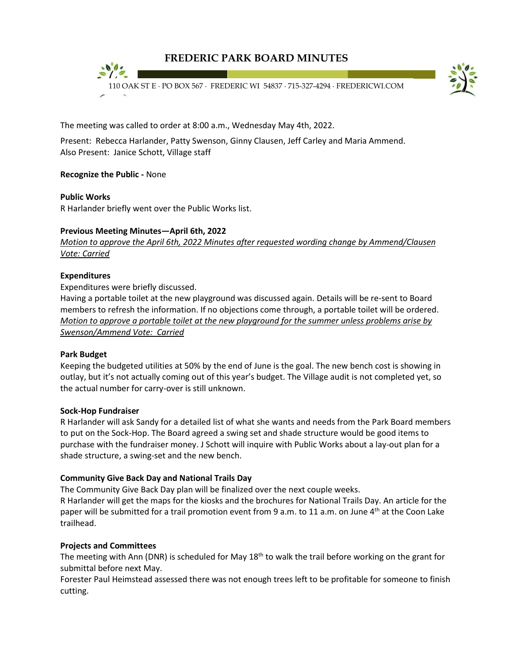



The meeting was called to order at 8:00 a.m., Wednesday May 4th, 2022.

Present: Rebecca Harlander, Patty Swenson, Ginny Clausen, Jeff Carley and Maria Ammend. Also Present: Janice Schott, Village staff

## **Recognize the Public -** None

## **Public Works**

R Harlander briefly went over the Public Works list.

## **Previous Meeting Minutes—April 6th, 2022**

*Motion to approve the April 6th, 2022 Minutes after requested wording change by Ammend/Clausen Vote: Carried*

## **Expenditures**

Expenditures were briefly discussed.

Having a portable toilet at the new playground was discussed again. Details will be re-sent to Board members to refresh the information. If no objections come through, a portable toilet will be ordered. *Motion to approve a portable toilet at the new playground for the summer unless problems arise by Swenson/Ammend Vote: Carried*

#### **Park Budget**

Keeping the budgeted utilities at 50% by the end of June is the goal. The new bench cost is showing in outlay, but it's not actually coming out of this year's budget. The Village audit is not completed yet, so the actual number for carry-over is still unknown.

#### **Sock-Hop Fundraiser**

R Harlander will ask Sandy for a detailed list of what she wants and needs from the Park Board members to put on the Sock-Hop. The Board agreed a swing set and shade structure would be good items to purchase with the fundraiser money. J Schott will inquire with Public Works about a lay-out plan for a shade structure, a swing-set and the new bench.

## **Community Give Back Day and National Trails Day**

The Community Give Back Day plan will be finalized over the next couple weeks.

R Harlander will get the maps for the kiosks and the brochures for National Trails Day. An article for the paper will be submitted for a trail promotion event from 9 a.m. to 11 a.m. on June  $4<sup>th</sup>$  at the Coon Lake trailhead.

## **Projects and Committees**

The meeting with Ann (DNR) is scheduled for May 18<sup>th</sup> to walk the trail before working on the grant for submittal before next May.

Forester Paul Heimstead assessed there was not enough trees left to be profitable for someone to finish cutting.